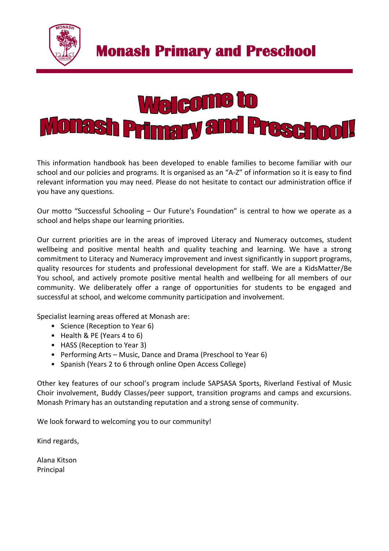



This information handbook has been developed to enable families to become familiar with our school and our policies and programs. It is organised as an "A-Z" of information so it is easy to find relevant information you may need. Please do not hesitate to contact our administration office if you have any questions.

Our motto "Successful Schooling – Our Future's Foundation" is central to how we operate as a school and helps shape our learning priorities.

Our current priorities are in the areas of improved Literacy and Numeracy outcomes, student wellbeing and positive mental health and quality teaching and learning. We have a strong commitment to Literacy and Numeracy improvement and invest significantly in support programs, quality resources for students and professional development for staff. We are a KidsMatter/Be You school, and actively promote positive mental health and wellbeing for all members of our community. We deliberately offer a range of opportunities for students to be engaged and successful at school, and welcome community participation and involvement.

Specialist learning areas offered at Monash are:

- Science (Reception to Year 6)
- Health & PE (Years 4 to 6)
- HASS (Reception to Year 3)
- Performing Arts Music, Dance and Drama (Preschool to Year 6)
- Spanish (Years 2 to 6 through online Open Access College)

Other key features of our school's program include SAPSASA Sports, Riverland Festival of Music Choir involvement, Buddy Classes/peer support, transition programs and camps and excursions. Monash Primary has an outstanding reputation and a strong sense of community.

We look forward to welcoming you to our community!

Kind regards,

Alana Kitson Principal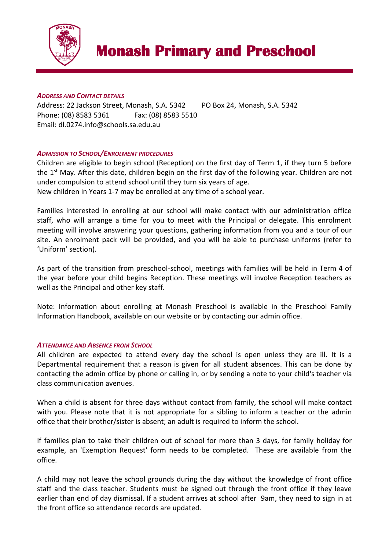

### *ADDRESS AND CONTACT DETAILS*

Address: 22 Jackson Street, Monash, S.A. 5342 PO Box 24, Monash, S.A. 5342 Phone: (08) 8583 5361 Fax: (08) 8583 5510 Email: dl.0274.info@schools.sa.edu.au

## *ADMISSION TO SCHOOL/ENROLMENT PROCEDURES*

Children are eligible to begin school (Reception) on the first day of Term 1, if they turn 5 before the  $1<sup>st</sup>$  May. After this date, children begin on the first day of the following year. Children are not under compulsion to attend school until they turn six years of age.

New children in Years 1-7 may be enrolled at any time of a school year.

Families interested in enrolling at our school will make contact with our administration office staff, who will arrange a time for you to meet with the Principal or delegate. This enrolment meeting will involve answering your questions, gathering information from you and a tour of our site. An enrolment pack will be provided, and you will be able to purchase uniforms (refer to 'Uniform' section).

As part of the transition from preschool-school, meetings with families will be held in Term 4 of the year before your child begins Reception. These meetings will involve Reception teachers as well as the Principal and other key staff.

Note: Information about enrolling at Monash Preschool is available in the Preschool Family Information Handbook, available on our website or by contacting our admin office.

## *ATTENDANCE AND ABSENCE FROM SCHOOL*

All children are expected to attend every day the school is open unless they are ill. It is a Departmental requirement that a reason is given for all student absences. This can be done by contacting the admin office by phone or calling in, or by sending a note to your child's teacher via class communication avenues.

When a child is absent for three days without contact from family, the school will make contact with you. Please note that it is not appropriate for a sibling to inform a teacher or the admin office that their brother/sister is absent; an adult is required to inform the school.

If families plan to take their children out of school for more than 3 days, for family holiday for example, an 'Exemption Request' form needs to be completed. These are available from the office.

A child may not leave the school grounds during the day without the knowledge of front office staff and the class teacher. Students must be signed out through the front office if they leave earlier than end of day dismissal. If a student arrives at school after 9am, they need to sign in at the front office so attendance records are updated.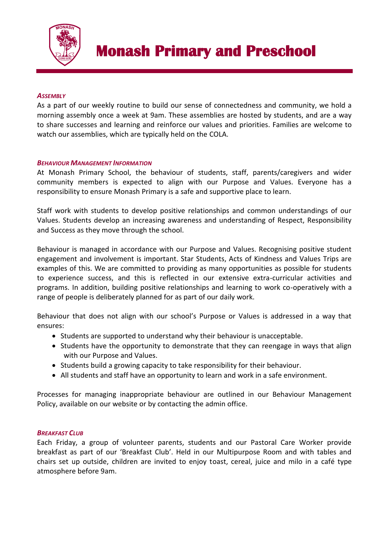

### *ASSEMBLY*

As a part of our weekly routine to build our sense of connectedness and community, we hold a morning assembly once a week at 9am. These assemblies are hosted by students, and are a way to share successes and learning and reinforce our values and priorities. Families are welcome to watch our assemblies, which are typically held on the COLA.

#### *BEHAVIOUR MANAGEMENT INFORMATION*

At Monash Primary School, the behaviour of students, staff, parents/caregivers and wider community members is expected to align with our Purpose and Values. Everyone has a responsibility to ensure Monash Primary is a safe and supportive place to learn.

Staff work with students to develop positive relationships and common understandings of our Values. Students develop an increasing awareness and understanding of Respect, Responsibility and Success as they move through the school.

Behaviour is managed in accordance with our Purpose and Values. Recognising positive student engagement and involvement is important. Star Students, Acts of Kindness and Values Trips are examples of this. We are committed to providing as many opportunities as possible for students to experience success, and this is reflected in our extensive extra-curricular activities and programs. In addition, building positive relationships and learning to work co-operatively with a range of people is deliberately planned for as part of our daily work.

Behaviour that does not align with our school's Purpose or Values is addressed in a way that ensures:

- Students are supported to understand why their behaviour is unacceptable.
- Students have the opportunity to demonstrate that they can reengage in ways that align with our Purpose and Values.
- Students build a growing capacity to take responsibility for their behaviour.
- All students and staff have an opportunity to learn and work in a safe environment.

Processes for managing inappropriate behaviour are outlined in our Behaviour Management Policy, available on our website or by contacting the admin office.

#### *BREAKFAST CLUB*

Each Friday, a group of volunteer parents, students and our Pastoral Care Worker provide breakfast as part of our 'Breakfast Club'. Held in our Multipurpose Room and with tables and chairs set up outside, children are invited to enjoy toast, cereal, juice and milo in a café type atmosphere before 9am.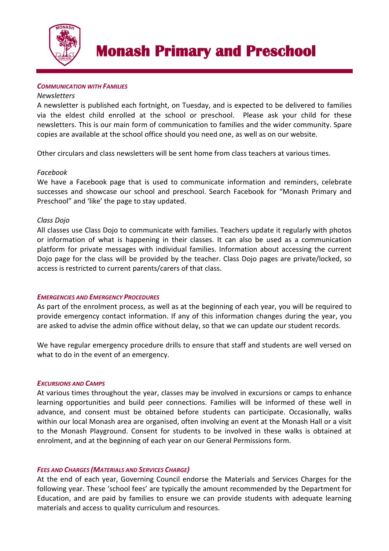

#### *COMMUNICATION WITH FAMILIES*

#### *Newsletters*

A newsletter is published each fortnight, on Tuesday, and is expected to be delivered to families via the eldest child enrolled at the school or preschool. Please ask your child for these newsletters. This is our main form of communication to families and the wider community. Spare copies are available at the school office should you need one, as well as on our website.

Other circulars and class newsletters will be sent home from class teachers at various times.

#### *Facebook*

We have a Facebook page that is used to communicate information and reminders, celebrate successes and showcase our school and preschool. Search Facebook for "Monash Primary and Preschool" and 'like' the page to stay updated.

#### *Class Dojo*

All classes use Class Dojo to communicate with families. Teachers update it regularly with photos or information of what is happening in their classes. It can also be used as a communication platform for private messages with individual families. Information about accessing the current Dojo page for the class will be provided by the teacher. Class Dojo pages are private/locked, so access is restricted to current parents/carers of that class.

#### *EMERGENCIES AND EMERGENCY PROCEDURES*

As part of the enrolment process, as well as at the beginning of each year, you will be required to provide emergency contact information. If any of this information changes during the year, you are asked to advise the admin office without delay, so that we can update our student records.

We have regular emergency procedure drills to ensure that staff and students are well versed on what to do in the event of an emergency.

#### *EXCURSIONS AND CAMPS*

At various times throughout the year, classes may be involved in excursions or camps to enhance learning opportunities and build peer connections. Families will be informed of these well in advance, and consent must be obtained before students can participate. Occasionally, walks within our local Monash area are organised, often involving an event at the Monash Hall or a visit to the Monash Playground. Consent for students to be involved in these walks is obtained at enrolment, and at the beginning of each year on our General Permissions form.

#### *FEES AND CHARGES (MATERIALS AND SERVICES CHARGE)*

At the end of each year, Governing Council endorse the Materials and Services Charges for the following year. These 'school fees' are typically the amount recommended by the Department for Education, and are paid by families to ensure we can provide students with adequate learning materials and access to quality curriculum and resources.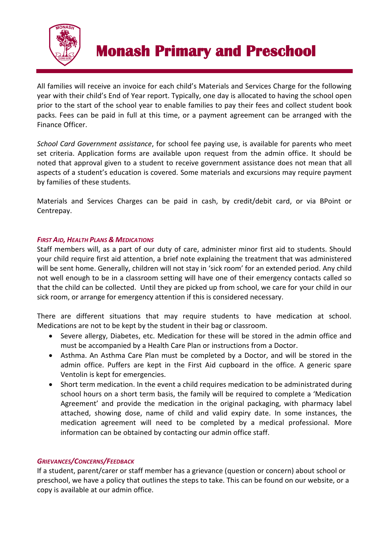

All families will receive an invoice for each child's Materials and Services Charge for the following year with their child's End of Year report. Typically, one day is allocated to having the school open prior to the start of the school year to enable families to pay their fees and collect student book packs. Fees can be paid in full at this time, or a payment agreement can be arranged with the Finance Officer.

*School Card Government assistance*, for school fee paying use, is available for parents who meet set criteria. Application forms are available upon request from the admin office. It should be noted that approval given to a student to receive government assistance does not mean that all aspects of a student's education is covered. Some materials and excursions may require payment by families of these students.

Materials and Services Charges can be paid in cash, by credit/debit card, or via BPoint or Centrepay.

## *FIRST AID, HEALTH PLANS & MEDICATIONS*

Staff members will, as a part of our duty of care, administer minor first aid to students. Should your child require first aid attention, a brief note explaining the treatment that was administered will be sent home. Generally, children will not stay in 'sick room' for an extended period. Any child not well enough to be in a classroom setting will have one of their emergency contacts called so that the child can be collected. Until they are picked up from school, we care for your child in our sick room, or arrange for emergency attention if this is considered necessary.

There are different situations that may require students to have medication at school. Medications are not to be kept by the student in their bag or classroom.

- Severe allergy, Diabetes, etc. Medication for these will be stored in the admin office and must be accompanied by a Health Care Plan or instructions from a Doctor.
- Asthma. An Asthma Care Plan must be completed by a Doctor, and will be stored in the admin office. Puffers are kept in the First Aid cupboard in the office. A generic spare Ventolin is kept for emergencies.
- Short term medication. In the event a child requires medication to be administrated during school hours on a short term basis, the family will be required to complete a 'Medication Agreement' and provide the medication in the original packaging, with pharmacy label attached, showing dose, name of child and valid expiry date. In some instances, the medication agreement will need to be completed by a medical professional. More information can be obtained by contacting our admin office staff.

## *GRIEVANCES/CONCERNS/FEEDBACK*

If a student, parent/carer or staff member has a grievance (question or concern) about school or preschool, we have a policy that outlines the steps to take. This can be found on our website, or a copy is available at our admin office.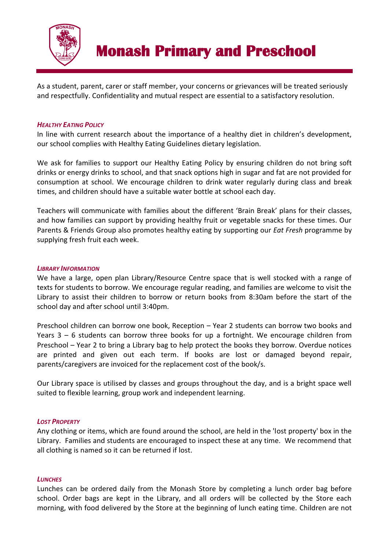

As a student, parent, carer or staff member, your concerns or grievances will be treated seriously and respectfully. Confidentiality and mutual respect are essential to a satisfactory resolution.

### *HEALTHY EATING POLICY*

In line with current research about the importance of a healthy diet in children's development, our school complies with Healthy Eating Guidelines dietary legislation.

We ask for families to support our Healthy Eating Policy by ensuring children do not bring soft drinks or energy drinks to school, and that snack options high in sugar and fat are not provided for consumption at school. We encourage children to drink water regularly during class and break times, and children should have a suitable water bottle at school each day.

Teachers will communicate with families about the different 'Brain Break' plans for their classes, and how families can support by providing healthy fruit or vegetable snacks for these times. Our Parents & Friends Group also promotes healthy eating by supporting our *Eat Fresh* programme by supplying fresh fruit each week.

#### *LIBRARY INFORMATION*

We have a large, open plan Library/Resource Centre space that is well stocked with a range of texts for students to borrow. We encourage regular reading, and families are welcome to visit the Library to assist their children to borrow or return books from 8:30am before the start of the school day and after school until 3:40pm.

Preschool children can borrow one book, Reception – Year 2 students can borrow two books and Years 3 – 6 students can borrow three books for up a fortnight. We encourage children from Preschool – Year 2 to bring a Library bag to help protect the books they borrow. Overdue notices are printed and given out each term. If books are lost or damaged beyond repair, parents/caregivers are invoiced for the replacement cost of the book/s.

Our Library space is utilised by classes and groups throughout the day, and is a bright space well suited to flexible learning, group work and independent learning.

## *LOST PROPERTY*

Any clothing or items, which are found around the school, are held in the 'lost property' box in the Library. Families and students are encouraged to inspect these at any time. We recommend that all clothing is named so it can be returned if lost.

#### *LUNCHES*

Lunches can be ordered daily from the Monash Store by completing a lunch order bag before school. Order bags are kept in the Library, and all orders will be collected by the Store each morning, with food delivered by the Store at the beginning of lunch eating time. Children are not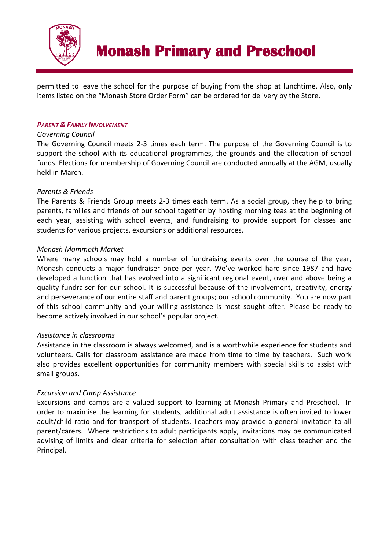

permitted to leave the school for the purpose of buying from the shop at lunchtime. Also, only items listed on the "Monash Store Order Form" can be ordered for delivery by the Store.

## *PARENT & FAMILY INVOLVEMENT*

### *Governing Council*

The Governing Council meets 2-3 times each term. The purpose of the Governing Council is to support the school with its educational programmes, the grounds and the allocation of school funds. Elections for membership of Governing Council are conducted annually at the AGM, usually held in March.

## *Parents & Friends*

The Parents & Friends Group meets 2-3 times each term. As a social group, they help to bring parents, families and friends of our school together by hosting morning teas at the beginning of each year, assisting with school events, and fundraising to provide support for classes and students for various projects, excursions or additional resources.

## *Monash Mammoth Market*

Where many schools may hold a number of fundraising events over the course of the year, Monash conducts a major fundraiser once per year. We've worked hard since 1987 and have developed a function that has evolved into a significant regional event, over and above being a quality fundraiser for our school. It is successful because of the involvement, creativity, energy and perseverance of our entire staff and parent groups; our school community. You are now part of this school community and your willing assistance is most sought after. Please be ready to become actively involved in our school's popular project.

## *Assistance in classrooms*

Assistance in the classroom is always welcomed, and is a worthwhile experience for students and volunteers. Calls for classroom assistance are made from time to time by teachers. Such work also provides excellent opportunities for community members with special skills to assist with small groups.

## *Excursion and Camp Assistance*

Excursions and camps are a valued support to learning at Monash Primary and Preschool. In order to maximise the learning for students, additional adult assistance is often invited to lower adult/child ratio and for transport of students. Teachers may provide a general invitation to all parent/carers. Where restrictions to adult participants apply, invitations may be communicated advising of limits and clear criteria for selection after consultation with class teacher and the Principal.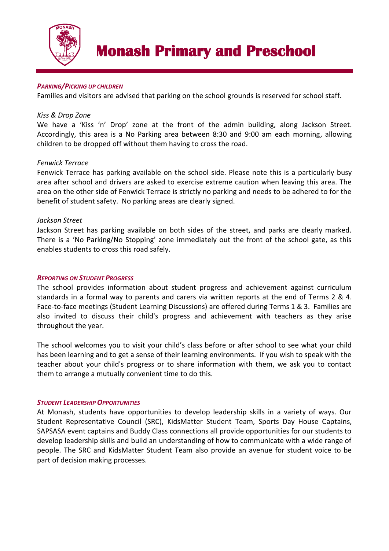

### *PARKING/PICKING UP CHILDREN*

Families and visitors are advised that parking on the school grounds is reserved for school staff.

#### *Kiss & Drop Zone*

We have a 'Kiss 'n' Drop' zone at the front of the admin building, along Jackson Street. Accordingly, this area is a No Parking area between 8:30 and 9:00 am each morning, allowing children to be dropped off without them having to cross the road.

#### *Fenwick Terrace*

Fenwick Terrace has parking available on the school side. Please note this is a particularly busy area after school and drivers are asked to exercise extreme caution when leaving this area. The area on the other side of Fenwick Terrace is strictly no parking and needs to be adhered to for the benefit of student safety. No parking areas are clearly signed.

#### *Jackson Street*

Jackson Street has parking available on both sides of the street, and parks are clearly marked. There is a 'No Parking/No Stopping' zone immediately out the front of the school gate, as this enables students to cross this road safely.

#### *REPORTING ON STUDENT PROGRESS*

The school provides information about student progress and achievement against curriculum standards in a formal way to parents and carers via written reports at the end of Terms 2 & 4. Face-to-face meetings (Student Learning Discussions) are offered during Terms 1 & 3. Families are also invited to discuss their child's progress and achievement with teachers as they arise throughout the year.

The school welcomes you to visit your child's class before or after school to see what your child has been learning and to get a sense of their learning environments. If you wish to speak with the teacher about your child's progress or to share information with them, we ask you to contact them to arrange a mutually convenient time to do this.

#### *STUDENT LEADERSHIP OPPORTUNITIES*

At Monash, students have opportunities to develop leadership skills in a variety of ways. Our Student Representative Council (SRC), KidsMatter Student Team, Sports Day House Captains, SAPSASA event captains and Buddy Class connections all provide opportunities for our students to develop leadership skills and build an understanding of how to communicate with a wide range of people. The SRC and KidsMatter Student Team also provide an avenue for student voice to be part of decision making processes.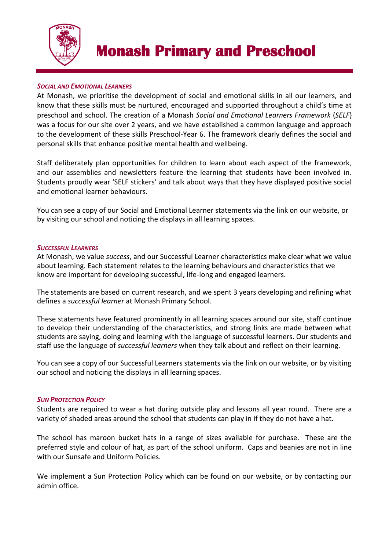

## *SOCIAL AND EMOTIONAL LEARNERS*

At Monash, we prioritise the development of social and emotional skills in all our learners, and know that these skills must be nurtured, encouraged and supported throughout a child's time at preschool and school. The creation of a Monash *Social and Emotional Learners Framework* (*SELF*) was a focus for our site over 2 years, and we have established a common language and approach to the development of these skills Preschool-Year 6. The framework clearly defines the social and personal skills that enhance positive mental health and wellbeing.

Staff deliberately plan opportunities for children to learn about each aspect of the framework, and our assemblies and newsletters feature the learning that students have been involved in. Students proudly wear 'SELF stickers' and talk about ways that they have displayed positive social and emotional learner behaviours.

You can see a copy of our Social and Emotional Learner statements via the link on our website, or by visiting our school and noticing the displays in all learning spaces.

#### *SUCCESSFUL LEARNERS*

At Monash, we value *success*, and our Successful Learner characteristics make clear what we value about learning. Each statement relates to the learning behaviours and characteristics that we know are important for developing successful, life-long and engaged learners.

The statements are based on current research, and we spent 3 years developing and refining what defines a *successful learner* at Monash Primary School.

These statements have featured prominently in all learning spaces around our site, staff continue to develop their understanding of the characteristics, and strong links are made between what students are saying, doing and learning with the language of successful learners. Our students and staff use the language of *successful learners* when they talk about and reflect on their learning.

You can see a copy of our Successful Learners statements via the link on our website, or by visiting our school and noticing the displays in all learning spaces.

#### *SUN PROTECTION POLICY*

Students are required to wear a hat during outside play and lessons all year round. There are a variety of shaded areas around the school that students can play in if they do not have a hat.

The school has maroon bucket hats in a range of sizes available for purchase. These are the preferred style and colour of hat, as part of the school uniform. Caps and beanies are not in line with our Sunsafe and Uniform Policies.

We implement a Sun Protection Policy which can be found on our website, or by contacting our admin office.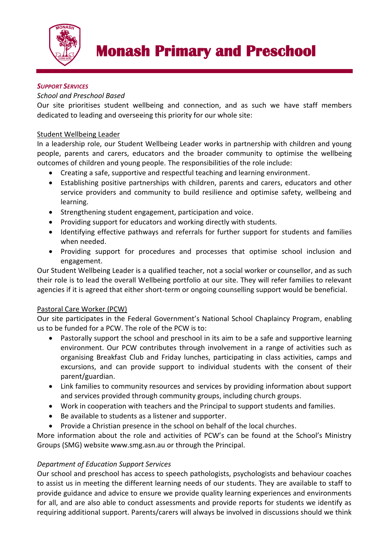

## *SUPPORT SERVICES*

## *School and Preschool Based*

Our site prioritises student wellbeing and connection, and as such we have staff members dedicated to leading and overseeing this priority for our whole site:

## Student Wellbeing Leader

In a leadership role, our Student Wellbeing Leader works in partnership with children and young people, parents and carers, educators and the broader community to optimise the wellbeing outcomes of children and young people. The responsibilities of the role include:

- Creating a safe, supportive and respectful teaching and learning environment.
- Establishing positive partnerships with children, parents and carers, educators and other service providers and community to build resilience and optimise safety, wellbeing and learning.
- Strengthening student engagement, participation and voice.
- Providing support for educators and working directly with students.
- Identifying effective pathways and referrals for further support for students and families when needed.
- Providing support for procedures and processes that optimise school inclusion and engagement.

Our Student Wellbeing Leader is a qualified teacher, not a social worker or counsellor, and as such their role is to lead the overall Wellbeing portfolio at our site. They will refer families to relevant agencies if it is agreed that either short-term or ongoing counselling support would be beneficial.

## Pastoral Care Worker (PCW)

Our site participates in the Federal Government's National School Chaplaincy Program, enabling us to be funded for a PCW. The role of the PCW is to:

- Pastorally support the school and preschool in its aim to be a safe and supportive learning environment. Our PCW contributes through involvement in a range of activities such as organising Breakfast Club and Friday lunches, participating in class activities, camps and excursions, and can provide support to individual students with the consent of their parent/guardian.
- Link families to community resources and services by providing information about support and services provided through community groups, including church groups.
- Work in cooperation with teachers and the Principal to support students and families.
- Be available to students as a listener and supporter.
- Provide a Christian presence in the school on behalf of the local churches.

More information about the role and activities of PCW's can be found at the School's Ministry Groups (SMG) website www.smg.asn.au or through the Principal.

## *Department of Education Support Services*

Our school and preschool has access to speech pathologists, psychologists and behaviour coaches to assist us in meeting the different learning needs of our students. They are available to staff to provide guidance and advice to ensure we provide quality learning experiences and environments for all, and are also able to conduct assessments and provide reports for students we identify as requiring additional support. Parents/carers will always be involved in discussions should we think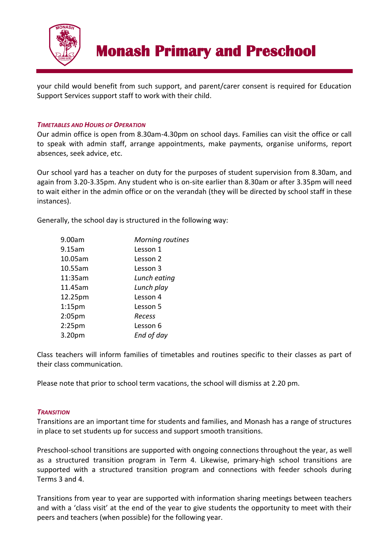

your child would benefit from such support, and parent/carer consent is required for Education Support Services support staff to work with their child.

### *TIMETABLES AND HOURS OF OPERATION*

Our admin office is open from 8.30am-4.30pm on school days. Families can visit the office or call to speak with admin staff, arrange appointments, make payments, organise uniforms, report absences, seek advice, etc.

Our school yard has a teacher on duty for the purposes of student supervision from 8.30am, and again from 3.20-3.35pm. Any student who is on-site earlier than 8.30am or after 3.35pm will need to wait either in the admin office or on the verandah (they will be directed by school staff in these instances).

Generally, the school day is structured in the following way:

| 9.00am    | Morning routines |
|-----------|------------------|
| 9.15am    | Lesson 1         |
| 10.05am   | Lesson 2         |
| 10.55am   | Lesson 3         |
| 11:35am   | Lunch eating     |
| 11.45am   | Lunch play       |
| 12.25pm   | Lesson 4         |
| $1:15$ pm | Lesson 5         |
| 2:05pm    | Recess           |
| 2:25pm    | Lesson 6         |
| 3.20pm    | End of day       |

Class teachers will inform families of timetables and routines specific to their classes as part of their class communication.

Please note that prior to school term vacations, the school will dismiss at 2.20 pm.

#### *TRANSITION*

Transitions are an important time for students and families, and Monash has a range of structures in place to set students up for success and support smooth transitions.

Preschool-school transitions are supported with ongoing connections throughout the year, as well as a structured transition program in Term 4. Likewise, primary-high school transitions are supported with a structured transition program and connections with feeder schools during Terms 3 and 4.

Transitions from year to year are supported with information sharing meetings between teachers and with a 'class visit' at the end of the year to give students the opportunity to meet with their peers and teachers (when possible) for the following year.